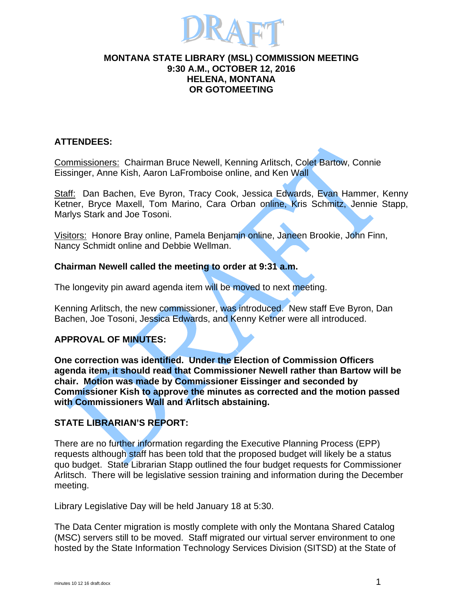

#### **MONTANA STATE LIBRARY (MSL) COMMISSION MEETING 9:30 A.M., OCTOBER 12, 2016 HELENA, MONTANA OR GOTOMEETING**

# **ATTENDEES:**

Commissioners: Chairman Bruce Newell, Kenning Arlitsch, Colet Bartow, Connie Eissinger, Anne Kish, Aaron LaFromboise online, and Ken Wall

Staff: Dan Bachen, Eve Byron, Tracy Cook, Jessica Edwards, Evan Hammer, Kenny Ketner, Bryce Maxell, Tom Marino, Cara Orban online, Kris Schmitz, Jennie Stapp, Marlys Stark and Joe Tosoni.

Visitors: Honore Bray online, Pamela Benjamin online, Janeen Brookie, John Finn, Nancy Schmidt online and Debbie Wellman.

# **Chairman Newell called the meeting to order at 9:31 a.m.**

The longevity pin award agenda item will be moved to next meeting.

Kenning Arlitsch, the new commissioner, was introduced. New staff Eve Byron, Dan Bachen, Joe Tosoni, Jessica Edwards, and Kenny Ketner were all introduced.

# **APPROVAL OF MINUTES:**

**One correction was identified. Under the Election of Commission Officers agenda item, it should read that Commissioner Newell rather than Bartow will be chair. Motion was made by Commissioner Eissinger and seconded by Commissioner Kish to approve the minutes as corrected and the motion passed with Commissioners Wall and Arlitsch abstaining.** 

# **STATE LIBRARIAN'S REPORT:**

There are no further information regarding the Executive Planning Process (EPP) requests although staff has been told that the proposed budget will likely be a status quo budget. State Librarian Stapp outlined the four budget requests for Commissioner Arlitsch. There will be legislative session training and information during the December meeting.

Library Legislative Day will be held January 18 at 5:30.

The Data Center migration is mostly complete with only the Montana Shared Catalog (MSC) servers still to be moved. Staff migrated our virtual server environment to one hosted by the State Information Technology Services Division (SITSD) at the State of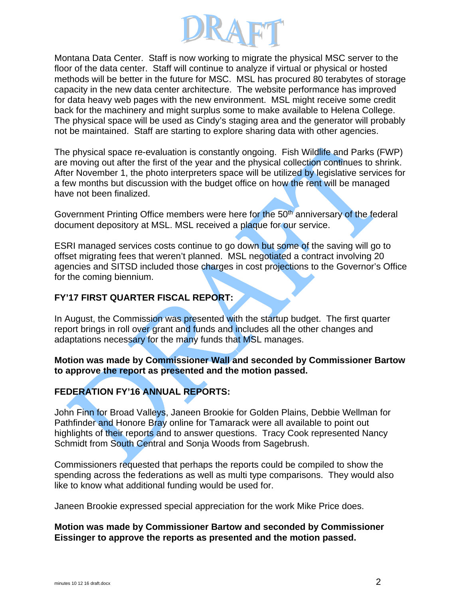

Montana Data Center. Staff is now working to migrate the physical MSC server to the floor of the data center. Staff will continue to analyze if virtual or physical or hosted methods will be better in the future for MSC. MSL has procured 80 terabytes of storage capacity in the new data center architecture. The website performance has improved for data heavy web pages with the new environment. MSL might receive some credit back for the machinery and might surplus some to make available to Helena College. The physical space will be used as Cindy's staging area and the generator will probably not be maintained. Staff are starting to explore sharing data with other agencies.

The physical space re-evaluation is constantly ongoing. Fish Wildlife and Parks (FWP) are moving out after the first of the year and the physical collection continues to shrink. After November 1, the photo interpreters space will be utilized by legislative services for a few months but discussion with the budget office on how the rent will be managed have not been finalized.

Government Printing Office members were here for the 50<sup>th</sup> anniversary of the federal document depository at MSL. MSL received a plaque for our service.

ESRI managed services costs continue to go down but some of the saving will go to offset migrating fees that weren't planned. MSL negotiated a contract involving 20 agencies and SITSD included those charges in cost projections to the Governor's Office for the coming biennium.

#### **FY'17 FIRST QUARTER FISCAL REPORT:**

In August, the Commission was presented with the startup budget. The first quarter report brings in roll over grant and funds and includes all the other changes and adaptations necessary for the many funds that MSL manages.

#### **Motion was made by Commissioner Wall and seconded by Commissioner Bartow to approve the report as presented and the motion passed.**

# **FEDERATION FY'16 ANNUAL REPORTS:**

John Finn for Broad Valleys, Janeen Brookie for Golden Plains, Debbie Wellman for Pathfinder and Honore Bray online for Tamarack were all available to point out highlights of their reports and to answer questions. Tracy Cook represented Nancy Schmidt from South Central and Sonja Woods from Sagebrush.

Commissioners requested that perhaps the reports could be compiled to show the spending across the federations as well as multi type comparisons. They would also like to know what additional funding would be used for.

Janeen Brookie expressed special appreciation for the work Mike Price does.

#### **Motion was made by Commissioner Bartow and seconded by Commissioner Eissinger to approve the reports as presented and the motion passed.**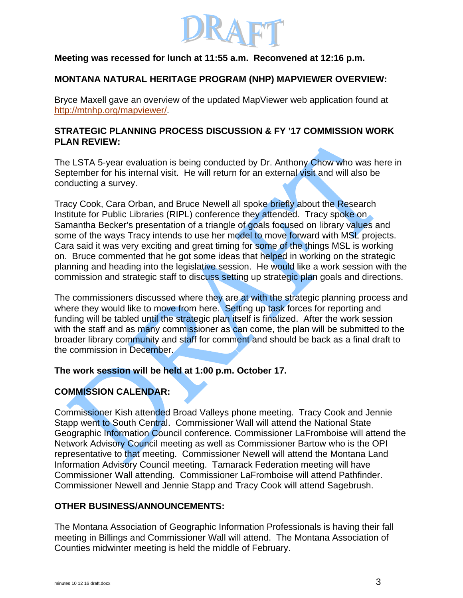

# **Meeting was recessed for lunch at 11:55 a.m. Reconvened at 12:16 p.m.**

#### **MONTANA NATURAL HERITAGE PROGRAM (NHP) MAPVIEWER OVERVIEW:**

Bryce Maxell gave an overview of the updated MapViewer web application found at http://mtnhp.org/mapviewer/.

# **STRATEGIC PLANNING PROCESS DISCUSSION & FY '17 COMMISSION WORK PLAN REVIEW:**

The LSTA 5-year evaluation is being conducted by Dr. Anthony Chow who was here in September for his internal visit. He will return for an external visit and will also be conducting a survey.

Tracy Cook, Cara Orban, and Bruce Newell all spoke briefly about the Research Institute for Public Libraries (RIPL) conference they attended. Tracy spoke on Samantha Becker's presentation of a triangle of goals focused on library values and some of the ways Tracy intends to use her model to move forward with MSL projects. Cara said it was very exciting and great timing for some of the things MSL is working on. Bruce commented that he got some ideas that helped in working on the strategic planning and heading into the legislative session. He would like a work session with the commission and strategic staff to discuss setting up strategic plan goals and directions.

The commissioners discussed where they are at with the strategic planning process and where they would like to move from here. Setting up task forces for reporting and funding will be tabled until the strategic plan itself is finalized. After the work session with the staff and as many commissioner as can come, the plan will be submitted to the broader library community and staff for comment and should be back as a final draft to the commission in December.

# **The work session will be held at 1:00 p.m. October 17.**

# **COMMISSION CALENDAR:**

Commissioner Kish attended Broad Valleys phone meeting. Tracy Cook and Jennie Stapp went to South Central. Commissioner Wall will attend the National State Geographic Information Council conference. Commissioner LaFromboise will attend the Network Advisory Council meeting as well as Commissioner Bartow who is the OPI representative to that meeting. Commissioner Newell will attend the Montana Land Information Advisory Council meeting. Tamarack Federation meeting will have Commissioner Wall attending. Commissioner LaFromboise will attend Pathfinder. Commissioner Newell and Jennie Stapp and Tracy Cook will attend Sagebrush.

# **OTHER BUSINESS/ANNOUNCEMENTS:**

The Montana Association of Geographic Information Professionals is having their fall meeting in Billings and Commissioner Wall will attend. The Montana Association of Counties midwinter meeting is held the middle of February.